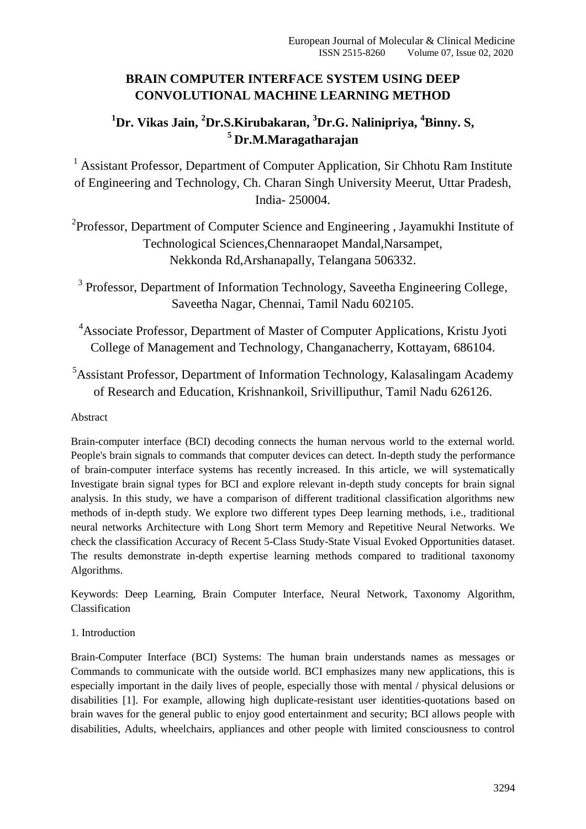## **BRAIN COMPUTER INTERFACE SYSTEM USING DEEP CONVOLUTIONAL MACHINE LEARNING METHOD**

# **<sup>1</sup>Dr. Vikas Jain, <sup>2</sup>Dr.S.Kirubakaran, <sup>3</sup>Dr.G. Nalinipriya, <sup>4</sup>Binny. S, <sup>5</sup> Dr.M.Maragatharajan**

<sup>1</sup> Assistant Professor, Department of Computer Application, Sir Chhotu Ram Institute of Engineering and Technology, Ch. Charan Singh University Meerut, Uttar Pradesh, India- 250004.

<sup>2</sup>Professor, Department of Computer Science and Engineering, Jayamukhi Institute of Technological Sciences,Chennaraopet Mandal,Narsampet, Nekkonda Rd,Arshanapally, Telangana 506332.

<sup>3</sup> Professor, Department of Information Technology, Saveetha Engineering College, Saveetha Nagar, Chennai, Tamil Nadu 602105.

<sup>4</sup>Associate Professor, Department of Master of Computer Applications, Kristu Jyoti College of Management and Technology, Changanacherry, Kottayam, 686104.

<sup>5</sup>Assistant Professor, Department of Information Technology, Kalasalingam Academy of Research and Education, Krishnankoil, Srivilliputhur, Tamil Nadu 626126.

## Abstract

Brain-computer interface (BCI) decoding connects the human nervous world to the external world. People's brain signals to commands that computer devices can detect. In-depth study the performance of brain-computer interface systems has recently increased. In this article, we will systematically Investigate brain signal types for BCI and explore relevant in-depth study concepts for brain signal analysis. In this study, we have a comparison of different traditional classification algorithms new methods of in-depth study. We explore two different types Deep learning methods, i.e., traditional neural networks Architecture with Long Short term Memory and Repetitive Neural Networks. We check the classification Accuracy of Recent 5-Class Study-State Visual Evoked Opportunities dataset. The results demonstrate in-depth expertise learning methods compared to traditional taxonomy Algorithms.

Keywords: Deep Learning, Brain Computer Interface, Neural Network, Taxonomy Algorithm, Classification

## 1. Introduction

Brain-Computer Interface (BCI) Systems: The human brain understands names as messages or Commands to communicate with the outside world. BCI emphasizes many new applications, this is especially important in the daily lives of people, especially those with mental / physical delusions or disabilities [1]. For example, allowing high duplicate-resistant user identities-quotations based on brain waves for the general public to enjoy good entertainment and security; BCI allows people with disabilities, Adults, wheelchairs, appliances and other people with limited consciousness to control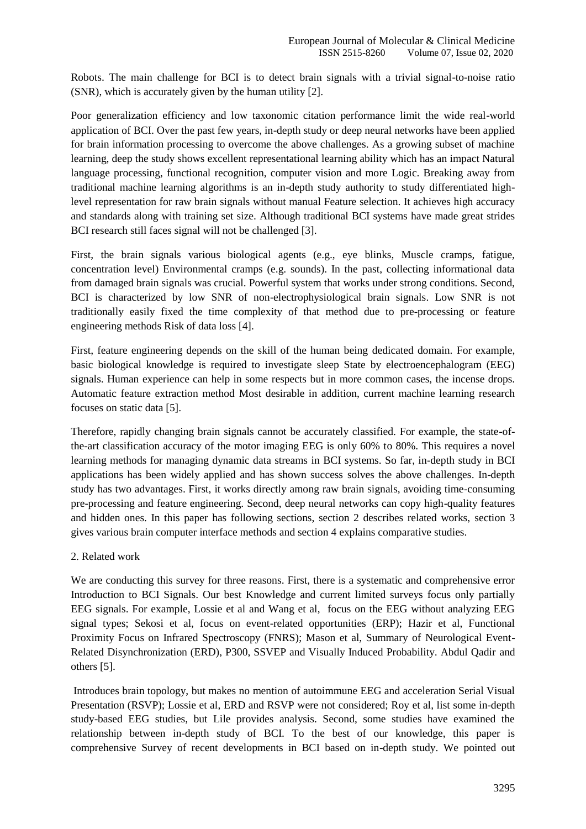Robots. The main challenge for BCI is to detect brain signals with a trivial signal-to-noise ratio (SNR), which is accurately given by the human utility [2].

Poor generalization efficiency and low taxonomic citation performance limit the wide real-world application of BCI. Over the past few years, in-depth study or deep neural networks have been applied for brain information processing to overcome the above challenges. As a growing subset of machine learning, deep the study shows excellent representational learning ability which has an impact Natural language processing, functional recognition, computer vision and more Logic. Breaking away from traditional machine learning algorithms is an in-depth study authority to study differentiated highlevel representation for raw brain signals without manual Feature selection. It achieves high accuracy and standards along with training set size. Although traditional BCI systems have made great strides BCI research still faces signal will not be challenged [3].

First, the brain signals various biological agents (e.g., eye blinks, Muscle cramps, fatigue, concentration level) Environmental cramps (e.g. sounds). In the past, collecting informational data from damaged brain signals was crucial. Powerful system that works under strong conditions. Second, BCI is characterized by low SNR of non-electrophysiological brain signals. Low SNR is not traditionally easily fixed the time complexity of that method due to pre-processing or feature engineering methods Risk of data loss [4].

First, feature engineering depends on the skill of the human being dedicated domain. For example, basic biological knowledge is required to investigate sleep State by electroencephalogram (EEG) signals. Human experience can help in some respects but in more common cases, the incense drops. Automatic feature extraction method Most desirable in addition, current machine learning research focuses on static data [5].

Therefore, rapidly changing brain signals cannot be accurately classified. For example, the state-ofthe-art classification accuracy of the motor imaging EEG is only 60% to 80%. This requires a novel learning methods for managing dynamic data streams in BCI systems. So far, in-depth study in BCI applications has been widely applied and has shown success solves the above challenges. In-depth study has two advantages. First, it works directly among raw brain signals, avoiding time-consuming pre-processing and feature engineering. Second, deep neural networks can copy high-quality features and hidden ones. In this paper has following sections, section 2 describes related works, section 3 gives various brain computer interface methods and section 4 explains comparative studies.

#### 2. Related work

We are conducting this survey for three reasons. First, there is a systematic and comprehensive error Introduction to BCI Signals. Our best Knowledge and current limited surveys focus only partially EEG signals. For example, Lossie et al and Wang et al, focus on the EEG without analyzing EEG signal types; Sekosi et al, focus on event-related opportunities (ERP); Hazir et al, Functional Proximity Focus on Infrared Spectroscopy (FNRS); Mason et al, Summary of Neurological Event-Related Disynchronization (ERD), P300, SSVEP and Visually Induced Probability. Abdul Qadir and others [5].

Introduces brain topology, but makes no mention of autoimmune EEG and acceleration Serial Visual Presentation (RSVP); Lossie et al, ERD and RSVP were not considered; Roy et al, list some in-depth study-based EEG studies, but Lile provides analysis. Second, some studies have examined the relationship between in-depth study of BCI. To the best of our knowledge, this paper is comprehensive Survey of recent developments in BCI based on in-depth study. We pointed out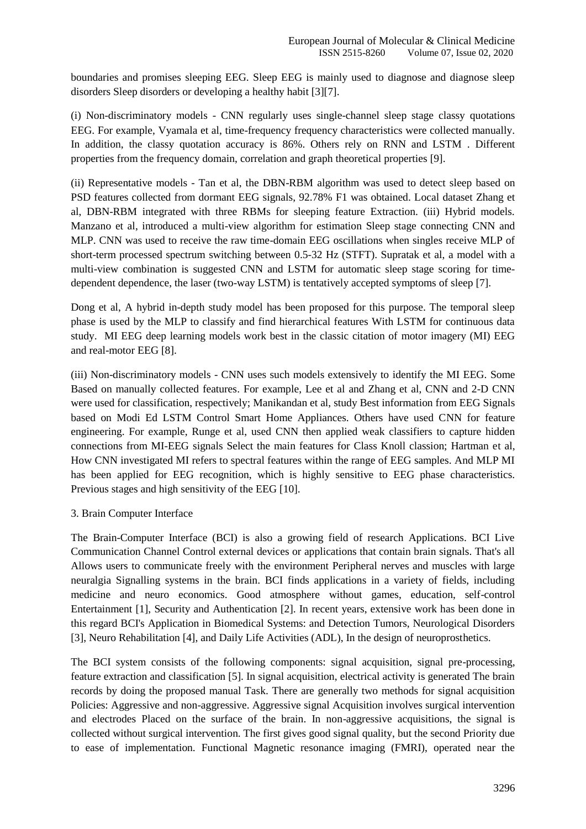boundaries and promises sleeping EEG. Sleep EEG is mainly used to diagnose and diagnose sleep disorders Sleep disorders or developing a healthy habit [3][7].

(i) Non-discriminatory models - CNN regularly uses single-channel sleep stage classy quotations EEG. For example, Vyamala et al, time-frequency frequency characteristics were collected manually. In addition, the classy quotation accuracy is 86%. Others rely on RNN and LSTM . Different properties from the frequency domain, correlation and graph theoretical properties [9].

(ii) Representative models - Tan et al, the DBN-RBM algorithm was used to detect sleep based on PSD features collected from dormant EEG signals, 92.78% F1 was obtained. Local dataset Zhang et al, DBN-RBM integrated with three RBMs for sleeping feature Extraction. (iii) Hybrid models. Manzano et al, introduced a multi-view algorithm for estimation Sleep stage connecting CNN and MLP. CNN was used to receive the raw time-domain EEG oscillations when singles receive MLP of short-term processed spectrum switching between 0.5-32 Hz (STFT). Supratak et al, a model with a multi-view combination is suggested CNN and LSTM for automatic sleep stage scoring for timedependent dependence, the laser (two-way LSTM) is tentatively accepted symptoms of sleep [7].

Dong et al, A hybrid in-depth study model has been proposed for this purpose. The temporal sleep phase is used by the MLP to classify and find hierarchical features With LSTM for continuous data study. MI EEG deep learning models work best in the classic citation of motor imagery (MI) EEG and real-motor EEG [8].

(iii) Non-discriminatory models - CNN uses such models extensively to identify the MI EEG. Some Based on manually collected features. For example, Lee et al and Zhang et al, CNN and 2-D CNN were used for classification, respectively; Manikandan et al, study Best information from EEG Signals based on Modi Ed LSTM Control Smart Home Appliances. Others have used CNN for feature engineering. For example, Runge et al, used CNN then applied weak classifiers to capture hidden connections from MI-EEG signals Select the main features for Class Knoll classion; Hartman et al, How CNN investigated MI refers to spectral features within the range of EEG samples. And MLP MI has been applied for EEG recognition, which is highly sensitive to EEG phase characteristics. Previous stages and high sensitivity of the EEG [10].

#### 3. Brain Computer Interface

The Brain-Computer Interface (BCI) is also a growing field of research Applications. BCI Live Communication Channel Control external devices or applications that contain brain signals. That's all Allows users to communicate freely with the environment Peripheral nerves and muscles with large neuralgia Signalling systems in the brain. BCI finds applications in a variety of fields, including medicine and neuro economics. Good atmosphere without games, education, self-control Entertainment [1], Security and Authentication [2]. In recent years, extensive work has been done in this regard BCI's Application in Biomedical Systems: and Detection Tumors, Neurological Disorders [3], Neuro Rehabilitation [4], and Daily Life Activities (ADL), In the design of neuroprosthetics.

The BCI system consists of the following components: signal acquisition, signal pre-processing, feature extraction and classification [5]. In signal acquisition, electrical activity is generated The brain records by doing the proposed manual Task. There are generally two methods for signal acquisition Policies: Aggressive and non-aggressive. Aggressive signal Acquisition involves surgical intervention and electrodes Placed on the surface of the brain. In non-aggressive acquisitions, the signal is collected without surgical intervention. The first gives good signal quality, but the second Priority due to ease of implementation. Functional Magnetic resonance imaging (FMRI), operated near the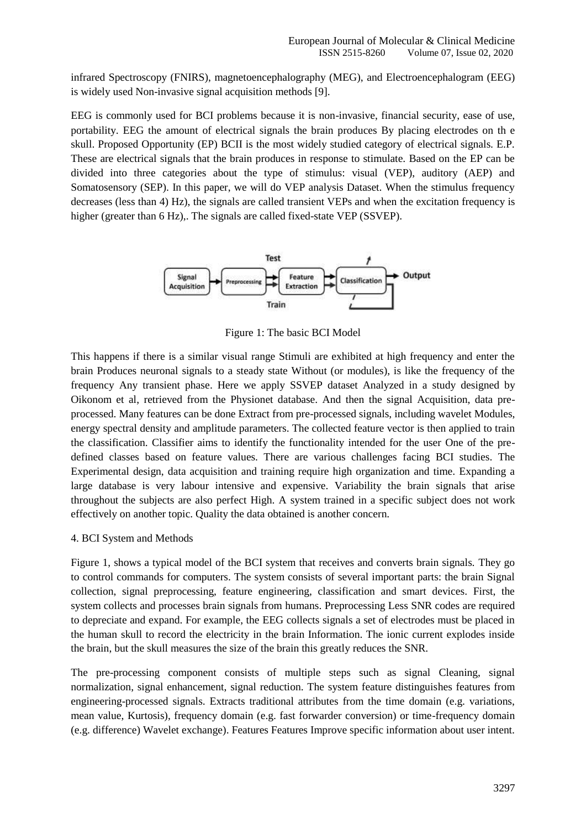infrared Spectroscopy (FNIRS), magnetoencephalography (MEG), and Electroencephalogram (EEG) is widely used Non-invasive signal acquisition methods [9].

EEG is commonly used for BCI problems because it is non-invasive, financial security, ease of use, portability. EEG the amount of electrical signals the brain produces By placing electrodes on th e skull. Proposed Opportunity (EP) BCII is the most widely studied category of electrical signals. E.P. These are electrical signals that the brain produces in response to stimulate. Based on the EP can be divided into three categories about the type of stimulus: visual (VEP), auditory (AEP) and Somatosensory (SEP). In this paper, we will do VEP analysis Dataset. When the stimulus frequency decreases (less than 4) Hz), the signals are called transient VEPs and when the excitation frequency is higher (greater than 6 Hz),. The signals are called fixed-state VEP (SSVEP).



Figure 1: The basic BCI Model

This happens if there is a similar visual range Stimuli are exhibited at high frequency and enter the brain Produces neuronal signals to a steady state Without (or modules), is like the frequency of the frequency Any transient phase. Here we apply SSVEP dataset Analyzed in a study designed by Oikonom et al, retrieved from the Physionet database. And then the signal Acquisition, data preprocessed. Many features can be done Extract from pre-processed signals, including wavelet Modules, energy spectral density and amplitude parameters. The collected feature vector is then applied to train the classification. Classifier aims to identify the functionality intended for the user One of the predefined classes based on feature values. There are various challenges facing BCI studies. The Experimental design, data acquisition and training require high organization and time. Expanding a large database is very labour intensive and expensive. Variability the brain signals that arise throughout the subjects are also perfect High. A system trained in a specific subject does not work effectively on another topic. Quality the data obtained is another concern.

#### 4. BCI System and Methods

Figure 1, shows a typical model of the BCI system that receives and converts brain signals. They go to control commands for computers. The system consists of several important parts: the brain Signal collection, signal preprocessing, feature engineering, classification and smart devices. First, the system collects and processes brain signals from humans. Preprocessing Less SNR codes are required to depreciate and expand. For example, the EEG collects signals a set of electrodes must be placed in the human skull to record the electricity in the brain Information. The ionic current explodes inside the brain, but the skull measures the size of the brain this greatly reduces the SNR.

The pre-processing component consists of multiple steps such as signal Cleaning, signal normalization, signal enhancement, signal reduction. The system feature distinguishes features from engineering-processed signals. Extracts traditional attributes from the time domain (e.g. variations, mean value, Kurtosis), frequency domain (e.g. fast forwarder conversion) or time-frequency domain (e.g. difference) Wavelet exchange). Features Features Improve specific information about user intent.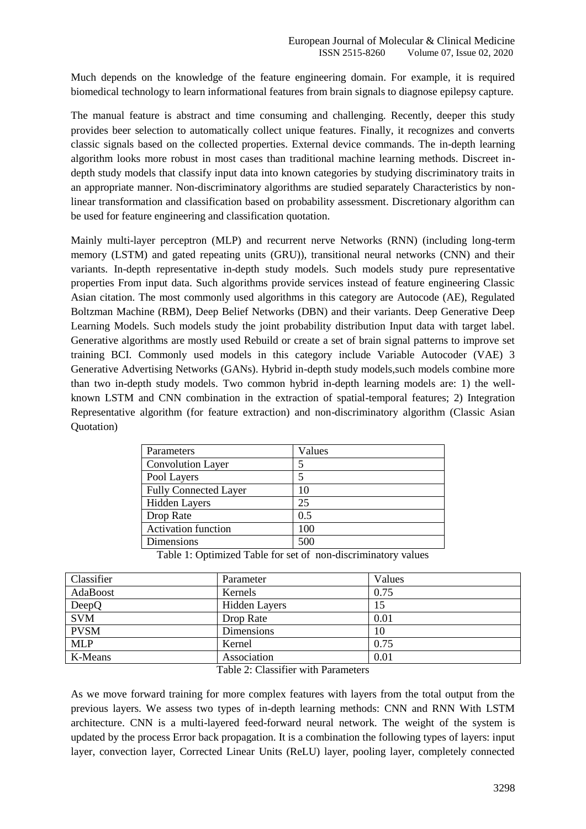Much depends on the knowledge of the feature engineering domain. For example, it is required biomedical technology to learn informational features from brain signals to diagnose epilepsy capture.

The manual feature is abstract and time consuming and challenging. Recently, deeper this study provides beer selection to automatically collect unique features. Finally, it recognizes and converts classic signals based on the collected properties. External device commands. The in-depth learning algorithm looks more robust in most cases than traditional machine learning methods. Discreet indepth study models that classify input data into known categories by studying discriminatory traits in an appropriate manner. Non-discriminatory algorithms are studied separately Characteristics by nonlinear transformation and classification based on probability assessment. Discretionary algorithm can be used for feature engineering and classification quotation.

Mainly multi-layer perceptron (MLP) and recurrent nerve Networks (RNN) (including long-term memory (LSTM) and gated repeating units (GRU)), transitional neural networks (CNN) and their variants. In-depth representative in-depth study models. Such models study pure representative properties From input data. Such algorithms provide services instead of feature engineering Classic Asian citation. The most commonly used algorithms in this category are Autocode (AE), Regulated Boltzman Machine (RBM), Deep Belief Networks (DBN) and their variants. Deep Generative Deep Learning Models. Such models study the joint probability distribution Input data with target label. Generative algorithms are mostly used Rebuild or create a set of brain signal patterns to improve set training BCI. Commonly used models in this category include Variable Autocoder (VAE) 3 Generative Advertising Networks (GANs). Hybrid in-depth study models,such models combine more than two in-depth study models. Two common hybrid in-depth learning models are: 1) the wellknown LSTM and CNN combination in the extraction of spatial-temporal features; 2) Integration Representative algorithm (for feature extraction) and non-discriminatory algorithm (Classic Asian Quotation)

| Parameters                   | Values |
|------------------------------|--------|
| <b>Convolution Layer</b>     |        |
| Pool Layers                  |        |
| <b>Fully Connected Layer</b> | 10     |
| <b>Hidden Layers</b>         | 25     |
| Drop Rate                    | 0.5    |
| <b>Activation function</b>   | 100    |
| Dimensions                   | 500    |

Table 1: Optimized Table for set of non-discriminatory values

| Classifier  | Parameter            | Values |
|-------------|----------------------|--------|
| AdaBoost    | Kernels              | 0.75   |
| DeepQ       | <b>Hidden Layers</b> | 15     |
| <b>SVM</b>  | Drop Rate            | 0.01   |
| <b>PVSM</b> | Dimensions           | 10     |
| <b>MLP</b>  | Kernel               | 0.75   |
| K-Means     | Association          | 0.01   |

Table 2: Classifier with Parameters

As we move forward training for more complex features with layers from the total output from the previous layers. We assess two types of in-depth learning methods: CNN and RNN With LSTM architecture. CNN is a multi-layered feed-forward neural network. The weight of the system is updated by the process Error back propagation. It is a combination the following types of layers: input layer, convection layer, Corrected Linear Units (ReLU) layer, pooling layer, completely connected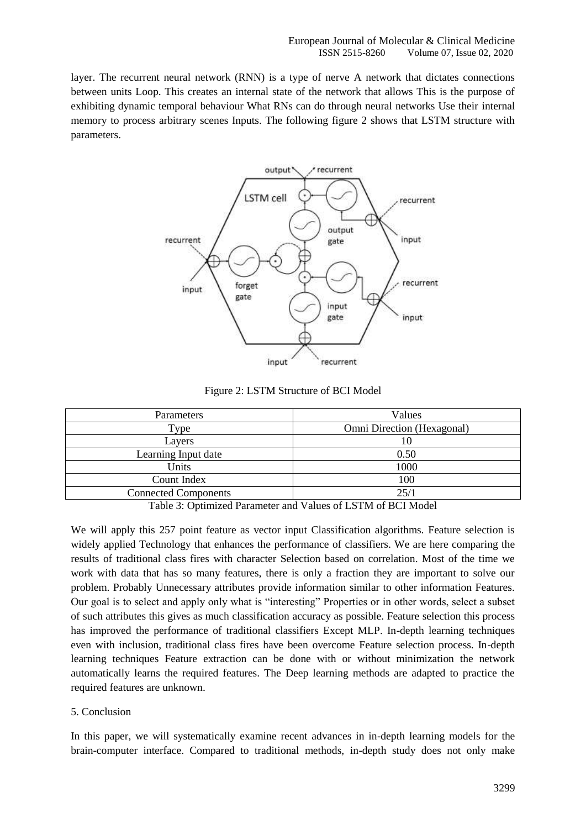layer. The recurrent neural network (RNN) is a type of nerve A network that dictates connections between units Loop. This creates an internal state of the network that allows This is the purpose of exhibiting dynamic temporal behaviour What RNs can do through neural networks Use their internal memory to process arbitrary scenes Inputs. The following figure 2 shows that LSTM structure with parameters.



Figure 2: LSTM Structure of BCI Model

| Parameters                  | Values                     |
|-----------------------------|----------------------------|
| Type                        | Omni Direction (Hexagonal) |
| Layers                      | 10                         |
| Learning Input date         | 0.50                       |
| Units                       | 1000                       |
| Count Index                 | 100                        |
| <b>Connected Components</b> | 25/1                       |
|                             |                            |

Table 3: Optimized Parameter and Values of LSTM of BCI Model

We will apply this 257 point feature as vector input Classification algorithms. Feature selection is widely applied Technology that enhances the performance of classifiers. We are here comparing the results of traditional class fires with character Selection based on correlation. Most of the time we work with data that has so many features, there is only a fraction they are important to solve our problem. Probably Unnecessary attributes provide information similar to other information Features. Our goal is to select and apply only what is "interesting" Properties or in other words, select a subset of such attributes this gives as much classification accuracy as possible. Feature selection this process has improved the performance of traditional classifiers Except MLP. In-depth learning techniques even with inclusion, traditional class fires have been overcome Feature selection process. In-depth learning techniques Feature extraction can be done with or without minimization the network automatically learns the required features. The Deep learning methods are adapted to practice the required features are unknown.

#### 5. Conclusion

In this paper, we will systematically examine recent advances in in-depth learning models for the brain-computer interface. Compared to traditional methods, in-depth study does not only make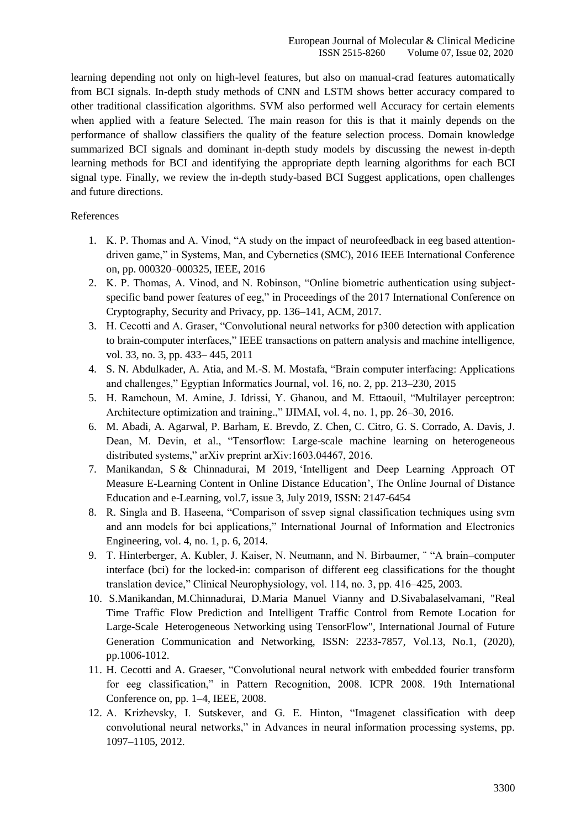learning depending not only on high-level features, but also on manual-crad features automatically from BCI signals. In-depth study methods of CNN and LSTM shows better accuracy compared to other traditional classification algorithms. SVM also performed well Accuracy for certain elements when applied with a feature Selected. The main reason for this is that it mainly depends on the performance of shallow classifiers the quality of the feature selection process. Domain knowledge summarized BCI signals and dominant in-depth study models by discussing the newest in-depth learning methods for BCI and identifying the appropriate depth learning algorithms for each BCI signal type. Finally, we review the in-depth study-based BCI Suggest applications, open challenges and future directions.

#### References

- 1. K. P. Thomas and A. Vinod, "A study on the impact of neurofeedback in eeg based attentiondriven game," in Systems, Man, and Cybernetics (SMC), 2016 IEEE International Conference on, pp. 000320–000325, IEEE, 2016
- 2. K. P. Thomas, A. Vinod, and N. Robinson, "Online biometric authentication using subjectspecific band power features of eeg," in Proceedings of the 2017 International Conference on Cryptography, Security and Privacy, pp. 136–141, ACM, 2017.
- 3. H. Cecotti and A. Graser, "Convolutional neural networks for p300 detection with application to brain-computer interfaces," IEEE transactions on pattern analysis and machine intelligence, vol. 33, no. 3, pp. 433– 445, 2011
- 4. S. N. Abdulkader, A. Atia, and M.-S. M. Mostafa, "Brain computer interfacing: Applications and challenges," Egyptian Informatics Journal, vol. 16, no. 2, pp. 213–230, 2015
- 5. H. Ramchoun, M. Amine, J. Idrissi, Y. Ghanou, and M. Ettaouil, "Multilayer perceptron: Architecture optimization and training.," IJIMAI, vol. 4, no. 1, pp. 26–30, 2016.
- 6. M. Abadi, A. Agarwal, P. Barham, E. Brevdo, Z. Chen, C. Citro, G. S. Corrado, A. Davis, J. Dean, M. Devin, et al., "Tensorflow: Large-scale machine learning on heterogeneous distributed systems," arXiv preprint arXiv:1603.04467, 2016.
- 7. Manikandan, S & Chinnadurai, M 2019, "Intelligent and Deep Learning Approach OT Measure E-Learning Content in Online Distance Education", The Online Journal of Distance Education and e-Learning, vol.7, issue 3, July 2019, ISSN: 2147-6454
- 8. R. Singla and B. Haseena, "Comparison of ssvep signal classification techniques using svm and ann models for bci applications," International Journal of Information and Electronics Engineering, vol. 4, no. 1, p. 6, 2014.
- 9. T. Hinterberger, A. Kubler, J. Kaiser, N. Neumann, and N. Birbaumer, ¨ "A brain–computer interface (bci) for the locked-in: comparison of different eeg classifications for the thought translation device," Clinical Neurophysiology, vol. 114, no. 3, pp. 416–425, 2003.
- 10. S.Manikandan, M.Chinnadurai, D.Maria Manuel Vianny and D.Sivabalaselvamani, "Real Time Traffic Flow Prediction and Intelligent Traffic Control from Remote Location for Large-Scale Heterogeneous Networking using TensorFlow", International Journal of Future Generation Communication and Networking, ISSN: 2233-7857, Vol.13, No.1, (2020), pp.1006-1012.
- 11. H. Cecotti and A. Graeser, "Convolutional neural network with embedded fourier transform for eeg classification," in Pattern Recognition, 2008. ICPR 2008. 19th International Conference on, pp. 1–4, IEEE, 2008.
- 12. A. Krizhevsky, I. Sutskever, and G. E. Hinton, "Imagenet classification with deep convolutional neural networks," in Advances in neural information processing systems, pp. 1097–1105, 2012.